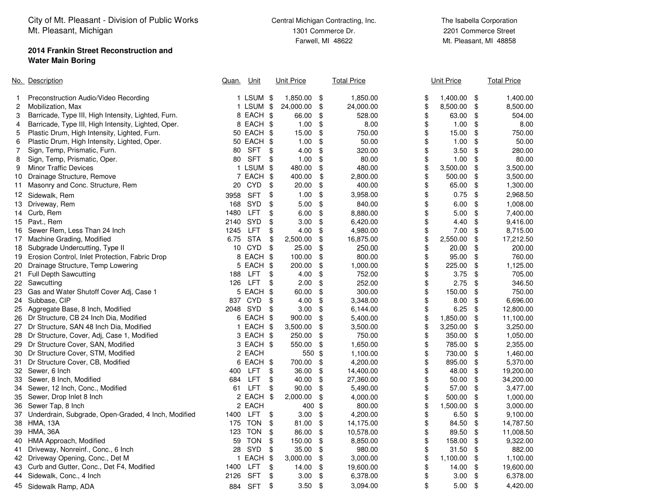City of Mt. Pleasant - Division of Public WorksMt. Pleasant, Michigan

## **2014 Frankin Street Reconstruction andWater Main Boring**

 2201 Commerce StreetMt. Pleasant, MI 48858

|                | No. Description                                     |                 | Unit<br>Quan. |               | <b>Unit Price</b> |      | <b>Total Price</b> | <b>Unit Price</b> | <b>Total Price</b> |
|----------------|-----------------------------------------------------|-----------------|---------------|---------------|-------------------|------|--------------------|-------------------|--------------------|
| $\mathbf{1}$   | Preconstruction Audio/Video Recording               |                 | 1 LSUM \$     |               | 1,850.00          | - \$ | 1,850.00           | \$<br>1,400.00    | \$<br>1,400.00     |
| 2              | Mobilization, Max                                   |                 | 1 LSUM \$     |               | 24,000.00         | \$   | 24,000.00          | \$<br>8,500.00    | \$<br>8,500.00     |
| 3              | Barricade, Type III, High Intensity, Lighted, Furn. |                 | 8 EACH \$     |               | 66.00             | -\$  | 528.00             | \$<br>63.00       | \$<br>504.00       |
| 4              | Barricade, Type III, High Intensity, Lighted, Oper. |                 | 8 EACH \$     |               | 1.00              | \$   | 8.00               | \$<br>1.00        | \$<br>8.00         |
| 5              | Plastic Drum, High Intensity, Lighted, Furn.        |                 | 50 EACH \$    |               | 15.00             | \$   | 750.00             | \$<br>15.00       | \$<br>750.00       |
| 6              | Plastic Drum, High Intensity, Lighted, Oper.        |                 | 50 EACH \$    |               | 1.00              | \$   | 50.00              | \$<br>1.00        | \$<br>50.00        |
| $\overline{7}$ | Sign, Temp, Prismatic, Furn.                        |                 | 80 SFT        | \$            | 4.00              | \$   | 320.00             | \$<br>3.50        | \$<br>280.00       |
| 8              | Sign, Temp, Prismatic, Oper.                        | 80              | <b>SFT</b>    | \$            | 1.00              | \$   | 80.00              | \$<br>1.00        | \$<br>80.00        |
| 9              | <b>Minor Traffic Devices</b>                        |                 | 1 LSUM        | \$            | 480.00            | \$   | 480.00             | \$<br>3,500.00    | \$<br>3,500.00     |
| 10             | Drainage Structure, Remove                          |                 | 7 EACH \$     |               | 400.00            | \$   | 2,800.00           | \$<br>500.00      | \$<br>3,500.00     |
| 11             | Masonry and Conc. Structure, Rem                    | 20              | <b>CYD</b>    | \$            | 20.00             | \$   | 400.00             | \$<br>65.00       | \$<br>1,300.00     |
| 12             | Sidewalk, Rem                                       | 3958            | <b>SFT</b>    | \$            | 1.00              | \$   | 3,958.00           | \$<br>0.75        | \$<br>2,968.50     |
| 13             | Driveway, Rem                                       | 168             | SYD           | $\frac{1}{2}$ | 5.00              | \$   | 840.00             | \$<br>6.00        | \$<br>1,008.00     |
| 14             | Curb, Rem                                           | 1480            | <b>LFT</b>    | \$            | 6.00              | \$   | 8,880.00           | \$<br>5.00        | \$<br>7,400.00     |
| 15             | Pavt., Rem                                          | 2140            | <b>SYD</b>    | \$            | 3.00              | -\$  | 6,420.00           | \$<br>4.40        | \$<br>9,416.00     |
| 16             | Sewer Rem, Less Than 24 Inch                        | 1245            | LFT           | \$            | 4.00              | \$   | 4,980.00           | \$<br>7.00        | \$<br>8,715.00     |
| 17             | Machine Grading, Modified                           |                 | 6.75 STA      | \$            | 2,500.00          | \$   | 16,875.00          | \$<br>2,550.00    | \$<br>17,212.50    |
| 18             | Subgrade Undercutting, Type II                      | 10 <sup>°</sup> | CYD           | \$            | 25.00             | \$   | 250.00             | \$<br>20.00       | \$<br>200.00       |
| 19             | Erosion Control, Inlet Protection, Fabric Drop      |                 | 8 EACH \$     |               | 100.00            | \$   | 800.00             | \$<br>95.00       | \$<br>760.00       |
| 20             | Drainage Structure, Temp Lowering                   |                 | 5 EACH \$     |               | 200.00            | \$   | 1,000.00           | \$<br>225.00      | \$<br>1,125.00     |
| 21             | <b>Full Depth Sawcutting</b>                        | 188             | <b>LFT</b>    | \$            | 4.00              | \$   | 752.00             | \$<br>3.75        | \$<br>705.00       |
| 22             | Sawcutting                                          |                 | 126 LFT       | \$            | 2.00              | \$   | 252.00             | \$<br>2.75        | \$<br>346.50       |
| 23             | Gas and Water Shutoff Cover Adj, Case 1             |                 | 5 EACH \$     |               | 60.00             | \$   | 300.00             | \$<br>150.00      | \$<br>750.00       |
| 24             | Subbase, CIP                                        |                 | 837 CYD       | \$            | 4.00              | \$   | 3,348.00           | \$<br>8.00        | \$<br>6,696.00     |
| 25             | Aggregate Base, 8 Inch, Modified                    |                 | 2048 SYD      | \$            | 3.00              | \$   | 6,144.00           | \$<br>6.25        | \$<br>12,800.00    |
| 26             | Dr Structure, CB 24 Inch Dia, Modified              |                 | 6 EACH \$     |               | 900.00            | \$   | 5,400.00           | \$<br>1,850.00    | \$<br>11,100.00    |
| 27             | Dr Structure, SAN 48 Inch Dia, Modified             |                 | 1 EACH \$     |               | 3,500.00          | \$   | 3,500.00           | \$<br>3,250.00    | \$<br>3,250.00     |
| 28             | Dr Structure, Cover, Adj, Case 1, Modified          |                 | 3 EACH \$     |               | 250.00            | \$   | 750.00             | \$<br>350.00      | \$<br>1,050.00     |
| 29             | Dr Structure Cover, SAN, Modified                   |                 | 3 EACH \$     |               | 550.00            | -\$  | 1,650.00           | \$<br>785.00      | \$<br>2,355.00     |
| 30             | Dr Structure Cover, STM, Modified                   |                 | 2 EACH        |               | 550 \$            |      | 1,100.00           | \$<br>730.00      | \$<br>1,460.00     |
| 31             | Dr Structure Cover, CB, Modified                    |                 | 6 EACH \$     |               | 700.00            | \$   | 4,200.00           | \$<br>895.00      | \$<br>5,370.00     |
| 32             | Sewer, 6 Inch                                       | 400             | <b>LFT</b>    | \$            | 36.00             | \$   | 14,400.00          | \$<br>48.00       | \$<br>19,200.00    |
| 33             | Sewer, 8 Inch, Modified                             |                 | 684 LFT       | \$            | 40.00             | \$   | 27,360.00          | \$<br>50.00       | \$<br>34,200.00    |
| 34             | Sewer, 12 Inch, Conc., Modified                     | 61              | <b>LFT</b>    | \$            | 90.00             | \$   | 5,490.00           | \$<br>57.00       | \$<br>3,477.00     |
| 35             | Sewer, Drop Inlet 8 Inch                            |                 | 2 EACH \$     |               | 2,000.00          | \$   | 4,000.00           | \$<br>500.00      | \$<br>1,000.00     |
| 36             | Sewer Tap, 8 Inch                                   |                 | 2 EACH        |               | 400               | -\$  | 800.00             | \$<br>1,500.00    | \$<br>3,000.00     |
| 37             | Underdrain, Subgrade, Open-Graded, 4 Inch, Modified | 1400            | <b>LFT</b>    | \$            | 3.00              | \$   | 4,200.00           | \$<br>6.50        | \$<br>9,100.00     |
| 38             | <b>HMA, 13A</b>                                     |                 | 175 TON       | \$            | 81.00             | -\$  | 14,175.00          | \$<br>84.50       | \$<br>14,787.50    |
| 39             | <b>HMA, 36A</b>                                     | 123             | <b>TON</b>    | \$            | 86.00             | \$   | 10,578.00          | \$<br>89.50       | \$<br>11,008.50    |
| 40             | HMA Approach, Modified                              |                 | 59 TON        | \$            | 150.00            | \$   | 8,850.00           | \$<br>158.00      | \$<br>9,322.00     |
| 41             | Driveway, Nonreinf., Conc., 6 Inch.                 | 28              | SYD           | \$            | 35.00             | \$   | 980.00             | \$<br>31.50       | \$<br>882.00       |
| 42             | Driveway Opening, Conc., Det M                      |                 | 1 EACH        | -\$           | 3,000.00          | \$   | 3,000.00           | \$<br>1,100.00    | \$<br>1,100.00     |
| 43             | Curb and Gutter, Conc., Det F4, Modified            | 1400            | LFT           | \$            | 14.00             | \$   | 19,600.00          | \$<br>14.00       | \$<br>19,600.00    |
| 44             | Sidewalk, Conc., 4 Inch                             | 2126            | <b>SFT</b>    | \$            | 3.00              | \$   | 6,378.00           | \$<br>3.00        | \$<br>6,378.00     |
| 45             | Sidewalk Ramp, ADA                                  | 884             | <b>SFT</b>    | \$            | 3.50              | \$   | 3,094.00           | \$<br>5.00        | \$<br>4,420.00     |